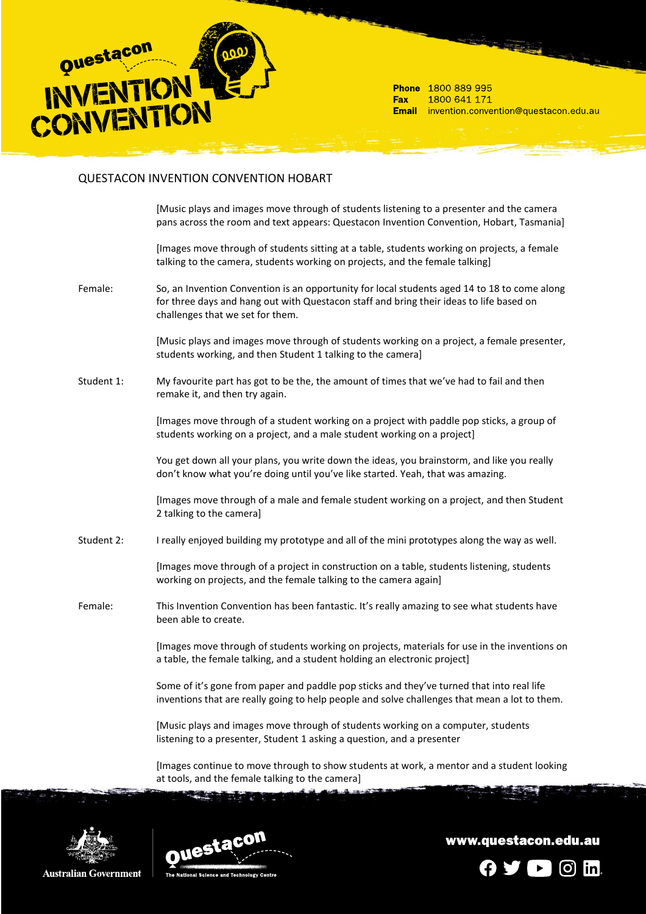

Phone 1800 889 995 1800 641 171 **Fax** Email invention.convention@questacon.edu.au

## QUESTACON INVENTION CONVENTION HOBART

[Music plays and images move through of students listening to a presenter and the camera pans across the room and text appears: Questacon Invention Convention, Hobart, Tasmania]

[Images move through of students sitting at a table, students working on projects, a female talking to the camera, students working on projects, and the female talking]

Female: So, an Invention Convention is an opportunity for local students aged 14 to 18 to come along for three days and hang out with Questacon staff and bring their ideas to life based on challenges that we set for them.

> [Music plays and images move through of students working on a project, a female presenter, students working, and then Student 1 talking to the camera]

Student 1: My favourite part has got to be the, the amount of times that we've had to fail and then remake it, and then try again.

> [Images move through of a student working on a project with paddle pop sticks, a group of students working on a project, and a male student working on a project]

> You get down all your plans, you write down the ideas, you brainstorm, and like you really don't know what you're doing until you've like started. Yeah, that was amazing.

[Images move through of a male and female student working on a project, and then Student 2 talking to the camera]

Student 2: I really enjoyed building my prototype and all of the mini prototypes along the way as well.

[Images move through of a project in construction on a table, students listening, students working on projects, and the female talking to the camera again]

Female: This Invention Convention has been fantastic. It's really amazing to see what students have been able to create.

> [Images move through of students working on projects, materials for use in the inventions on a table, the female talking, and a student holding an electronic project]

Some of it's gone from paper and paddle pop sticks and they've turned that into real life inventions that are really going to help people and solve challenges that mean a lot to them.

[Music plays and images move through of students working on a computer, students listening to a presenter, Student 1 asking a question, and a presenter

[Images continue to move through to show students at work, a mentor and a student looking at tools, and the female talking to the camera]





www.questacon.edu.au